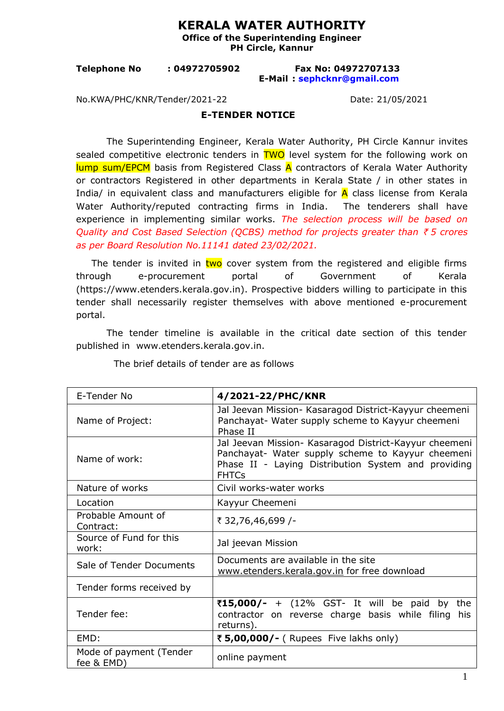## **KERALA WATER AUTHORITY**

**Office of the Superintending Engineer PH Circle, Kannur** 

**Telephone No : 04972705902 Fax No: 04972707133 E-Mail : [sephcknr@gmail.com](mailto:sephcknr@gmail.com)**

No.KWA/PHC/KNR/Tender/2021-22 Date: 21/05/2021

## **E-TENDER NOTICE**

The Superintending Engineer, Kerala Water Authority, PH Circle Kannur invites sealed competitive electronic tenders in **TWO** level system for the following work on  $\frac{1}{2}$  and  $\frac{1}{2}$  and  $\frac{1}{2}$  basis from Registered Class  $\overline{A}$  contractors of Kerala Water Authority or contractors Registered in other departments in Kerala State / in other states in India/ in equivalent class and manufacturers eligible for  $\overline{A}$  class license from Kerala Water Authority/reputed contracting firms in India. The tenderers shall have experience in implementing similar works. *The selection process will be based on Quality and Cost Based Selection (QCBS) method for projects greater than ₹5 crores as per Board Resolution No.11141 dated 23/02/2021.*

The tender is invited in two cover system from the registered and eligible firms through e-procurement portal of Government of Kerala (https://ww[w.etenders.kerala.gov.in](http://www.etenders.kerala.gov.in/)). Prospective bidders willing to participate in this tender shall necessarily register themselves with above mentioned e-procurement portal.

The tender timeline is available in the critical date section of this tender published in [www.etenders.kerala.gov.in.](http://www.etenders.kerala.gov.in/)

| E-Tender No                           | 4/2021-22/PHC/KNR                                                                                                                                                                  |
|---------------------------------------|------------------------------------------------------------------------------------------------------------------------------------------------------------------------------------|
| Name of Project:                      | Jal Jeevan Mission- Kasaragod District-Kayyur cheemeni<br>Panchayat- Water supply scheme to Kayyur cheemeni<br>Phase II                                                            |
| Name of work:                         | Jal Jeevan Mission- Kasaragod District-Kayyur cheemeni<br>Panchayat- Water supply scheme to Kayyur cheemeni<br>Phase II - Laying Distribution System and providing<br><b>FHTCs</b> |
| Nature of works                       | Civil works-water works                                                                                                                                                            |
| Location                              | Kayyur Cheemeni                                                                                                                                                                    |
| Probable Amount of<br>Contract:       | ₹ 32,76,46,699 /-                                                                                                                                                                  |
| Source of Fund for this<br>work:      | Jal jeevan Mission                                                                                                                                                                 |
| Sale of Tender Documents              | Documents are available in the site<br>www.etenders.kerala.gov.in for free download                                                                                                |
| Tender forms received by              |                                                                                                                                                                                    |
| Tender fee:                           | ₹15,000/- + (12% GST- It will be paid<br>by the<br>contractor on reverse charge basis while filing<br>his<br>returns).                                                             |
| EMD:                                  | ₹ 5,00,000/- (Rupees Five lakhs only)                                                                                                                                              |
| Mode of payment (Tender<br>fee & EMD) | online payment                                                                                                                                                                     |

The brief details of tender are as follows